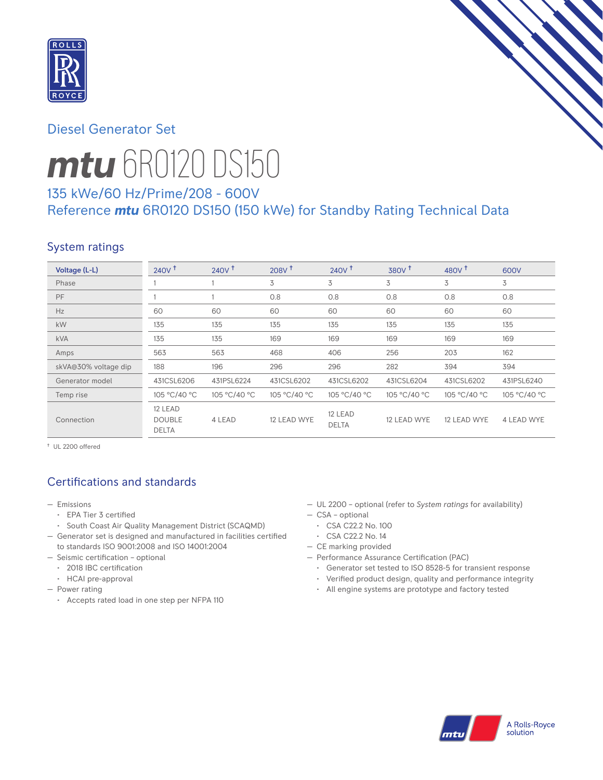

### Diesel Generator Set



# *mtu* 6R0120 DS150

### 135 kWe/60 Hz/Prime/208 - 600V Reference *mtu* 6R0120 DS150 (150 kWe) for Standby Rating Technical Data

### System ratings

| Voltage (L-L)        | $240V$ <sup>+</sup>                      | $240V$ <sup>t</sup> | 208V <sup>†</sup> | 240V <sup>†</sup>       | 380V <sup>†</sup> | 480 $V†$     | 600V         |
|----------------------|------------------------------------------|---------------------|-------------------|-------------------------|-------------------|--------------|--------------|
| Phase                |                                          |                     | 3                 | 3                       | 3                 | 3            | 3            |
| PF                   |                                          |                     | 0.8               | 0.8                     | 0.8               | 0.8          | 0.8          |
| Hz                   | 60                                       | 60                  | 60                | 60                      | 60                | 60           | 60           |
| kW                   | 135                                      | 135                 | 135               | 135                     | 135               | 135          | 135          |
| <b>kVA</b>           | 135                                      | 135                 | 169               | 169                     | 169               | 169          | 169          |
| Amps                 | 563                                      | 563                 | 468               | 406                     | 256               | 203          | 162          |
| skVA@30% voltage dip | 188                                      | 196                 | 296               | 296                     | 282               | 394          | 394          |
| Generator model      | 431CSL6206                               | 431PSL6224          | 431CSL6202        | 431CSL6202              | 431CSL6204        | 431CSL6202   | 431PSL6240   |
| Temp rise            | 105 °C/40 °C                             | 105 °C/40 °C        | 105 °C/40 °C      | 105 °C/40 °C            | 105 °C/40 °C      | 105 °C/40 °C | 105 °C/40 °C |
| Connection           | 12 LEAD<br><b>DOUBLE</b><br><b>DELTA</b> | 4 LEAD              | 12 LEAD WYE       | 12 LEAD<br><b>DELTA</b> | 12 LEAD WYE       | 12 LEAD WYE  | 4 LEAD WYE   |

† UL 2200 offered

### Certifications and standards

- Emissions
	- EPA Tier 3 certified
	- South Coast Air Quality Management District (SCAQMD)
- Generator set is designed and manufactured in facilities certified to standards ISO 9001:2008 and ISO 14001:2004
- Seismic certification optional
	- 2018 IBC certification
	- HCAI pre-approval
- Power rating
	- Accepts rated load in one step per NFPA 110
- UL 2200 optional (refer to *System ratings* for availability)
- CSA optional
- CSA C22.2 No. 100
- CSA C22.2 No. 14
- CE marking provided
- Performance Assurance Certification (PAC)
	- Generator set tested to ISO 8528-5 for transient response
	- Verified product design, quality and performance integrity
	- All engine systems are prototype and factory tested

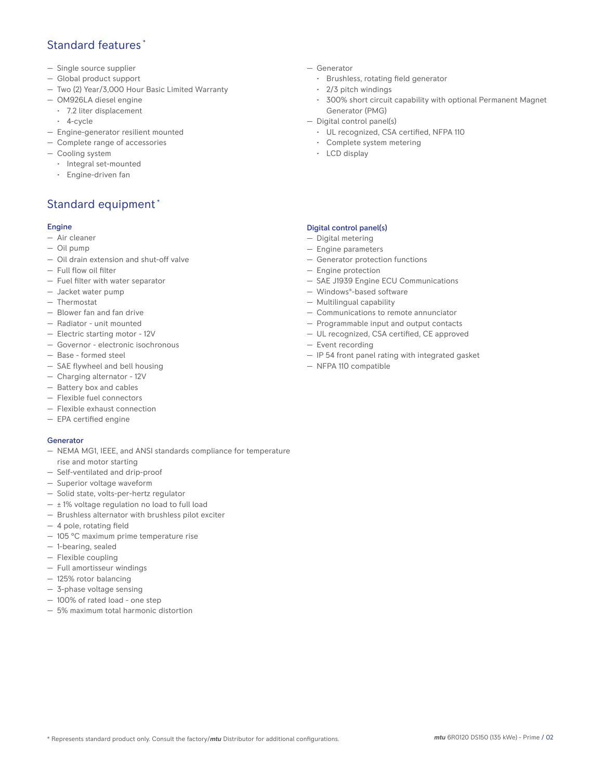#### Standard features \*

- Single source supplier
- Global product support
- Two (2) Year/3,000 Hour Basic Limited Warranty
- OM926LA diesel engine
	- 7.2 liter displacement
	- 4-cycle
- Engine-generator resilient mounted
- Complete range of accessories
- Cooling system
	- Integral set-mounted
	- Engine-driven fan

### Standard equipment \*

#### Engine

- Air cleaner
- Oil pump
- Oil drain extension and shut-off valve
- Full flow oil filter
- Fuel filter with water separator
- Jacket water pump
- Thermostat
- Blower fan and fan drive
- Radiator unit mounted
- Electric starting motor 12V
- Governor electronic isochronous
- Base formed steel
- SAE flywheel and bell housing
- Charging alternator 12V
- Battery box and cables
- Flexible fuel connectors
- Flexible exhaust connection
- EPA certified engine

#### Generator

- NEMA MG1, IEEE, and ANSI standards compliance for temperature rise and motor starting
- Self-ventilated and drip-proof
- Superior voltage waveform
- Solid state, volts-per-hertz regulator
- $\pm$  1% voltage regulation no load to full load
- Brushless alternator with brushless pilot exciter
- 4 pole, rotating field
- 105 °C maximum prime temperature rise
- 1-bearing, sealed
- Flexible coupling
- Full amortisseur windings
- 125% rotor balancing
- 3-phase voltage sensing
- 100% of rated load one step — 5% maximum total harmonic distortion
- Generator
	- Brushless, rotating field generator
	- 2/3 pitch windings
	- 300% short circuit capability with optional Permanent Magnet Generator (PMG)
- Digital control panel(s)
	- UL recognized, CSA certified, NFPA 110
	- Complete system metering
	- LCD display

#### Digital control panel(s)

- Digital metering
- Engine parameters
- Generator protection functions
- Engine protection
- SAE J1939 Engine ECU Communications
- Windows®-based software
- Multilingual capability
- Communications to remote annunciator
- Programmable input and output contacts
- UL recognized, CSA certified, CE approved
- Event recording
- IP 54 front panel rating with integrated gasket
- NFPA 110 compatible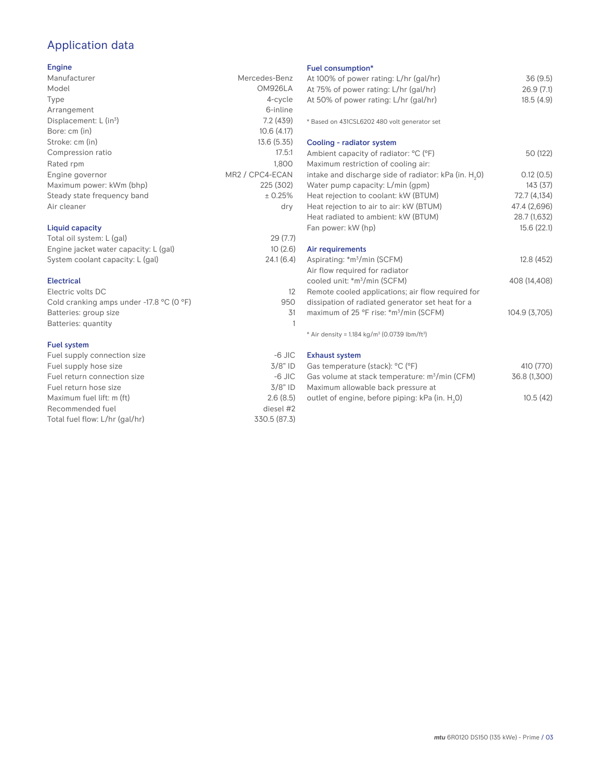## Application data

#### Engine

| Manufacturer                | Mercedes-Benz               |
|-----------------------------|-----------------------------|
| Model                       | OM926LA                     |
| Type                        | 4-cycle                     |
| Arrangement                 | 6-inline                    |
| Displacement: $L (in3)$     | 7.2(439)                    |
| Bore: cm (in)               | 10.6(4.17)                  |
| Stroke: cm (in)             | 13.6(5.35)                  |
| Compression ratio           | 17.5:1                      |
| Rated rpm                   | 1.800                       |
| Engine governor             | MR2 / CPC4-ECAN             |
| Maximum power: kWm (bhp)    | 225 (302)                   |
| Steady state frequency band | ± 0.25%                     |
| Air cleaner                 | dry                         |
| Liquid capacity             |                             |
|                             | $\sim$ $\sim$ $\sim$ $\sim$ |

| Total oil system: L (gal)             | 29(7.7)   |
|---------------------------------------|-----------|
| Engine jacket water capacity: L (gal) | 10(2.6)   |
| System coolant capacity: L (gal)      | 24.1(6.4) |

#### Electrical

| Electric volts DC                                            |     |
|--------------------------------------------------------------|-----|
| Cold cranking amps under -17.8 $^{\circ}$ C (O $^{\circ}$ F) | 950 |
| Batteries: group size                                        | .31 |
| Batteries: quantity                                          |     |
|                                                              |     |

#### Fuel system

| Fuel supply connection size    | $-6$ JIC     |
|--------------------------------|--------------|
| Fuel supply hose size          | $3/8"$ ID    |
| Fuel return connection size    | $-6$ JIC     |
| Fuel return hose size          | $3/8"$ ID    |
| Maximum fuel lift: m (ft)      | 2.6(8.5)     |
| Recommended fuel               | diesel #2    |
| Total fuel flow: L/hr (gal/hr) | 330.5 (87.3) |

#### Fuel consumption\*

| Fuel consumption <sup>*</sup>                                           |               |
|-------------------------------------------------------------------------|---------------|
| At 100% of power rating: L/hr (gal/hr)                                  | 36(9.5)       |
| At 75% of power rating: L/hr (gal/hr)                                   | 26.9(7.1)     |
| At 50% of power rating: L/hr (gal/hr)                                   | 18.5(4.9)     |
|                                                                         |               |
| * Based on 431CSL6202 480 volt generator set                            |               |
| Cooling - radiator system                                               |               |
| Ambient capacity of radiator: °C (°F)                                   | 50 (122)      |
| Maximum restriction of cooling air:                                     |               |
| intake and discharge side of radiator: kPa (in. H <sub>2</sub> 0)       | 0.12(0.5)     |
| Water pump capacity: L/min (gpm)                                        | 143(37)       |
| Heat rejection to coolant: kW (BTUM)                                    | 72.7 (4,134)  |
| Heat rejection to air to air: kW (BTUM)                                 | 47.4 (2,696)  |
| Heat radiated to ambient: kW (BTUM)                                     | 28.7 (1,632)  |
| Fan power: kW (hp)                                                      | 15.6(22.1)    |
| Air requirements                                                        |               |
| Aspirating: *m <sup>3</sup> /min (SCFM)                                 | 12.8 (452)    |
| Air flow required for radiator                                          |               |
| cooled unit: *m <sup>3</sup> /min (SCFM)                                | 408 (14.408)  |
| Remote cooled applications; air flow required for                       |               |
| dissipation of radiated generator set heat for a                        |               |
| maximum of 25 °F rise: *m <sup>3</sup> /min (SCFM)                      | 104.9 (3,705) |
| * Air density = $1.184$ kg/m <sup>3</sup> (0.0739 lbm/ft <sup>3</sup> ) |               |
| <b>Exhaust system</b>                                                   |               |
| $(1)$ $(1)$ $(0)$ $(0)$                                                 | (110177)      |

| Gas temperature (stack): °C (°F)                            | 410 (770)    |
|-------------------------------------------------------------|--------------|
| Gas volume at stack temperature: m <sup>3</sup> /min (CFM)  | 36.8 (1.300) |
| Maximum allowable back pressure at                          |              |
| outlet of engine, before piping: kPa (in. H <sub>2</sub> 0) | 10.5(42)     |
|                                                             |              |